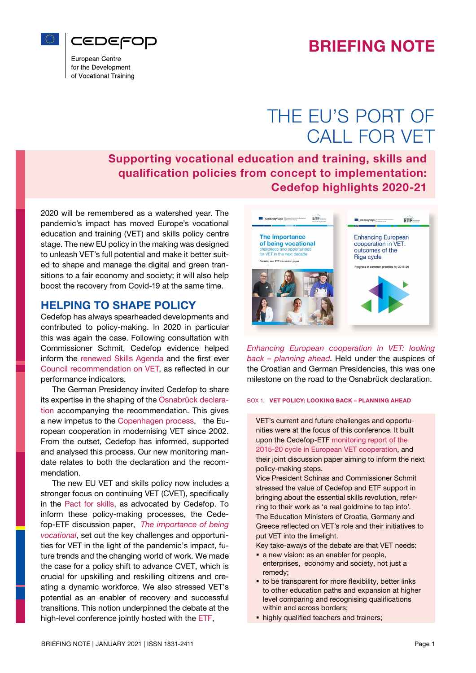



European Centre for the Development of Vocational Training

# THE EU'S PORT OF CALL FOR VET

Supporting vocational education and training, skills and qualification policies from concept to implementation: Cedefop highlights 2020-21

2020 will be remembered as a watershed year. The pandemic's impact has moved Europe's vocational education and training (VET) and skills policy centre stage. The new EU policy in the making was designed to unleash VET's full potential and make it better suited to shape and manage the digital and green transitions to a fair economy and society; it will also help boost the recovery from Covid-19 at the same time.

## HELPING TO SHAPE POLICY

Cedefop has always spearheaded developments and contributed to policy-making. In 2020 in particular this was again the case. Following consultation with Commissioner Schmit, Cedefop evidence helped inform the [renewed Skills Agenda](https://eur-lex.europa.eu/legal-content/EN/TXT/?uri=CELEX:52020DC0274) and the first ever [Council recommendation on VET,](https://eur-lex.europa.eu/legal-content/EN/TXT/?uri=CELEX%3A32020H1202%2801%29) as reflected in our performance indicators.

The German Presidency invited Cedefop to share its expertise in the shaping of the [Osnabrück declara](https://www.cedefop.europa.eu/files/osnabrueck_declaration_eu2020.pdf)[tion](https://www.cedefop.europa.eu/files/osnabrueck_declaration_eu2020.pdf) accompanying the recommendation. This gives a new impetus to the [Copenhagen process,](https://www.cedefop.europa.eu/en/events-and-projects/projects/reporting-european-training-policy) the European cooperation in modernising VET since 2002. From the outset, Cedefop has informed, supported and analysed this process. Our new monitoring mandate relates to both the declaration and the recommendation.

The new EU VET and skills policy now includes a stronger focus on continuing VET (CVET), specifically in the [Pact for skills,](https://ec.europa.eu/social/main.jsp?catId=1517&langId=en) as advocated by Cedefop. To inform these policy-making processes, the Cedefop-ETF discussion paper, *[The importance of being](https://www.cedefop.europa.eu/files/4186_en.pdf) [vocational](https://www.cedefop.europa.eu/files/4186_en.pdf)*, set out the key challenges and opportunities for VET in the light of the pandemic's impact, future trends and the changing world of work. We made the case for a policy shift to advance CVET, which is crucial for upskilling and reskilling citizens and creating a dynamic workforce. We also stressed VET's potential as an enabler of recovery and successful transitions. This notion underpinned the debate at the high-level conference jointly hosted with the [ETF](https://www.etf.europa.eu/en),



*[Enhancing European cooperation in VET: looking](https://www.cedefop.europa.eu/en/events-and-projects/events/enhancing-european-cooperation-vet-looking-back-planning-ahead) [back – planning ahead](https://www.cedefop.europa.eu/en/events-and-projects/events/enhancing-european-cooperation-vet-looking-back-planning-ahead)*. Held under the auspices of the Croatian and German Presidencies, this was one milestone on the road to the Osnabrück declaration.

#### BOX 1. VET POLICY: LOOKING BACK – PLANNING AHEAD

VET's current and future challenges and opportunities were at the focus of this conference. It built upon the Cedefop-ETF [monitoring report of the](https://www.cedefop.europa.eu/en/publications-and-resources/publications/3084)  [2015-20 cycle in European VET cooperation,](https://www.cedefop.europa.eu/en/publications-and-resources/publications/3084) and their joint discussion paper aiming to inform the next policy-making steps.

Vice President Schinas and Commissioner Schmit stressed the value of Cedefop and ETF support in bringing about the essential skills revolution, referring to their work as 'a real goldmine to tap into'. The Education Ministers of Croatia, Germany and Greece reflected on VET's role and their initiatives to put VET into the limelight.

Key take-aways of the debate are that VET needs:

- a new vision: as an enabler for people, enterprises, economy and society, not just a remedy;
- to be transparent for more flexibility, better links to other education paths and expansion at higher level comparing and recognising qualifications within and across borders;
- highly qualified teachers and trainers;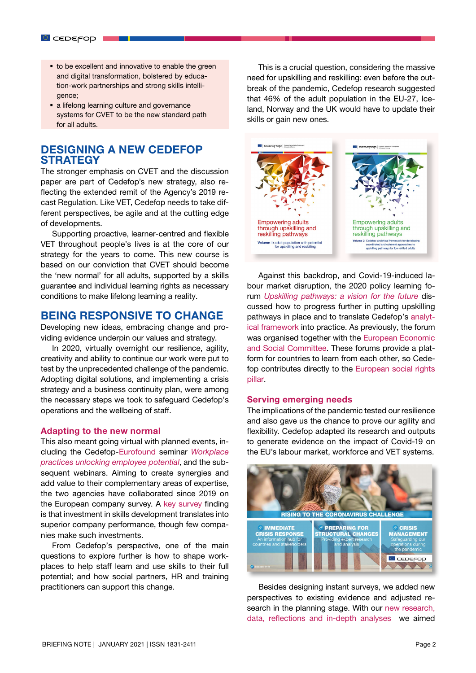- to be excellent and innovative to enable the green and digital transformation, bolstered by education-work partnerships and strong skills intelligence;
- a lifelong learning culture and governance systems for CVET to be the new standard path for all adults.

# DESIGNING A NEW CEDEFOP **STRATEGY**

The stronger emphasis on CVET and the discussion paper are part of Cedefop's new strategy, also reflecting the extended remit of the Agency's 2019 recast Regulation. Like VET, Cedefop needs to take different perspectives, be agile and at the cutting edge of developments.

Supporting proactive, learner-centred and flexible VET throughout people's lives is at the core of our strategy for the years to come. This new course is based on our conviction that CVET should become the 'new normal' for all adults, supported by a skills guarantee and individual learning rights as necessary conditions to make lifelong learning a reality.

## BEING RESPONSIVE TO CHANGE

Developing new ideas, embracing change and providing evidence underpin our values and strategy.

In 2020, virtually overnight our resilience, agility, creativity and ability to continue our work were put to test by the unprecedented challenge of the pandemic. Adopting digital solutions, and implementing a crisis strategy and a business continuity plan, were among the necessary steps we took to safeguard Cedefop's operations and the wellbeing of staff.

#### Adapting to the new normal

This also meant going virtual with planned events, including the Cedefop-[Eurofound](https://www.eurofound.europa.eu/) seminar *[Workplace](https://www.cedefop.europa.eu/en/events-and-projects/events/launch-european-company-survey-2019-ecs-2019-overview-report) [practices unlocking employee potential](https://www.cedefop.europa.eu/en/events-and-projects/events/launch-european-company-survey-2019-ecs-2019-overview-report)*, and the subsequent webinars. Aiming to create synergies and add value to their complementary areas of expertise, the two agencies have collaborated since 2019 on the European company survey. A [key survey](https://www.cedefop.europa.eu/en/publications-and-resources/publications/2228) finding is that investment in skills development translates into superior company performance, though few companies make such investments.

From Cedefop's perspective, one of the main questions to explore further is how to shape workplaces to help staff learn and use skills to their full potential; and how social partners, HR and training practitioners can support this change.

This is a crucial question, considering the massive need for upskilling and reskilling: even before the outbreak of the pandemic, [Cedefop research](https://www.cedefop.europa.eu/en/publications-and-resources/publications/3081) suggested that 46% of the adult population in the EU-27, Iceland, Norway and the UK would have to update their skills or gain new ones.



Against this backdrop, and Covid-19-induced labour market disruption, the 2020 policy learning forum *[Upskilling pathways: a vision for the future](https://www.cedefop.europa.eu/en/events-and-projects/events/third-policy-learning-forum-upskilling-pathways-vision-future-virtual-event)* discussed how to progress further in putting upskilling pathways in place and to translate Cedefop's [analyt](https://www.cedefop.europa.eu/en/publications-and-resources/publications/3082)[ical framework](https://www.cedefop.europa.eu/en/publications-and-resources/publications/3082) into practice. As previously, the forum was organised together with the [European Economic](https://www.eesc.europa.eu/en) [and Social Committee](https://www.eesc.europa.eu/en). These forums provide a platform for countries to learn from each other, so Cedefop contributes directly to the [European social rights](https://ec.europa.eu/commission/priorities/deeper-and-fairer-economic-and-monetary-union/european-pillar-social-rights/european-pillar-social-rights-20-principles_en) [pillar.](https://ec.europa.eu/commission/priorities/deeper-and-fairer-economic-and-monetary-union/european-pillar-social-rights/european-pillar-social-rights-20-principles_en)

## Serving emerging needs

The implications of the pandemic tested our resilience and also gave us the chance to prove our agility and flexibility. Cedefop adapted its research and outputs to generate evidence on the impact of Covid-19 on the EU's labour market, workforce and VET systems.



Besides designing instant surveys, we added new perspectives to existing evidence and adjusted research in the planning stage. With our [new research,](https://www.cedefop.europa.eu/en/publications-and-resources/publications/8139) [data, reflections and in-depth analyses](https://www.cedefop.europa.eu/en/publications-and-resources/publications/8139) we aimed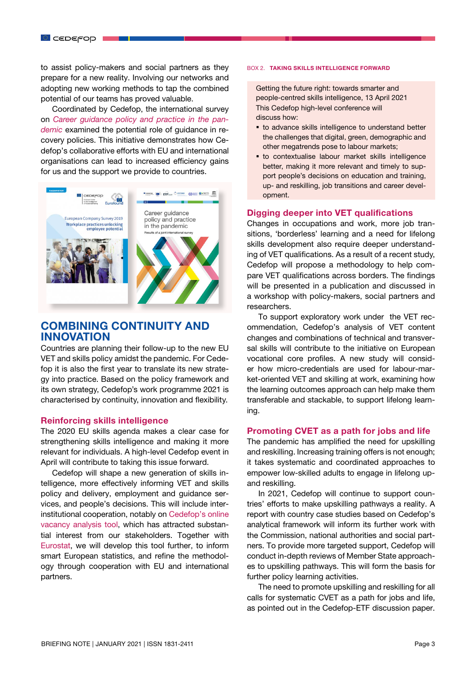to assist policy-makers and social partners as they prepare for a new reality. Involving our networks and adopting new working methods to tap the combined potential of our teams has proved valuable.

Coordinated by Cedefop, the international survey on *[Career guidance policy and practice in the pan](https://www.cedefop.europa.eu/en/publications-and-resources/publications/4193)[demic](https://www.cedefop.europa.eu/en/publications-and-resources/publications/4193)* examined the potential role of guidance in recovery policies. This initiative demonstrates how Cedefop's collaborative efforts with EU and international organisations can lead to increased efficiency gains for us and the support we provide to countries.



## COMBINING CONTINUITY AND INNOVATION

Countries are planning their follow-up to the new EU VET and skills policy amidst the pandemic. For Cedefop it is also the first year to translate its new strategy into practice. Based on the policy framework and its own strategy, Cedefop's work programme 2021 is characterised by continuity, innovation and flexibility.

#### Reinforcing skills intelligence

The 2020 EU skills agenda makes a clear case for strengthening skills intelligence and making it more relevant for individuals. A high-level Cedefop event in April will contribute to taking this issue forward.

Cedefop will shape a new generation of skills intelligence, more effectively informing VET and skills policy and delivery, employment and guidance services, and people's decisions. This will include interinstitutional cooperation, notably on [Cedefop's online](https://www.cedefop.europa.eu/en/data-visualisations/skills-online-vacancies) [vacancy analysis tool](https://www.cedefop.europa.eu/en/data-visualisations/skills-online-vacancies), which has attracted substantial interest from our stakeholders. Together with [Eurostat](https://ec.europa.eu/eurostat), we will develop this tool further, to inform smart European statistics, and refine the methodology through cooperation with EU and international partners.

#### BOX 2. TAKING SKILLS INTELLIGENCE FORWARD

Getting the future right: towards smarter and people-centred skills intelligence, 13 April 2021 This Cedefop high-level conference will discuss how:

- **to advance skills intelligence to understand better** the challenges that digital, green, demographic and other megatrends pose to labour markets;
- to contextualise labour market skills intelligence better, making it more relevant and timely to support people's decisions on education and training, up- and reskilling, job transitions and career development.

#### Digging deeper into VET qualifications

Changes in occupations and work, more job transitions, 'borderless' learning and a need for lifelong skills development also require deeper understanding of VET qualifications. As a result of a recent study, Cedefop will propose a methodology to help compare VET qualifications across borders. The findings will be presented in a publication and discussed in a workshop with policy-makers, social partners and researchers.

To support exploratory work under the VET recommendation, Cedefop's analysis of VET content changes and combinations of technical and transversal skills will contribute to the initiative on European vocational core profiles. A new study will consider how micro-credentials are used for labour-market-oriented VET and skilling at work, examining how the learning outcomes approach can help make them transferable and stackable, to support lifelong learning.

## Promoting CVET as a path for jobs and life

The pandemic has amplified the need for upskilling and reskilling. Increasing training offers is not enough; it takes systematic and coordinated approaches to empower low-skilled adults to engage in lifelong upand reskilling.

In 2021, Cedefop will continue to support countries' efforts to make upskilling pathways a reality. A report with country case studies based on Cedefop's analytical framework will inform its further work with the Commission, national authorities and social partners. To provide more targeted support, Cedefop will conduct in-depth reviews of Member State approaches to upskilling pathways. This will form the basis for further policy learning activities.

The need to promote upskilling and reskilling for all calls for systematic CVET as a path for jobs and life, as pointed out in the Cedefop-ETF discussion paper.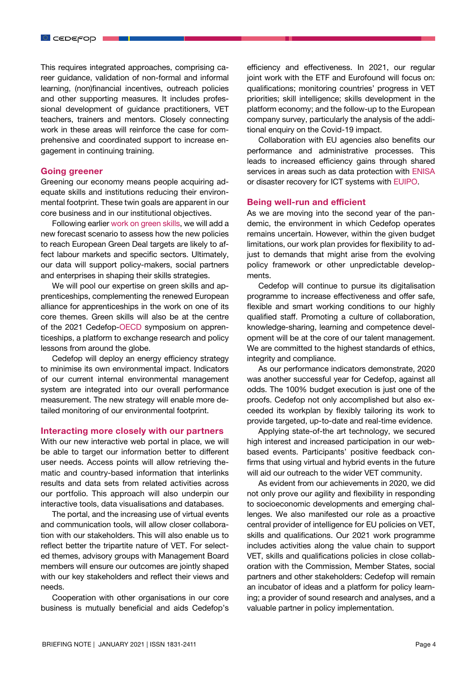This requires integrated approaches, comprising career guidance, validation of non-formal and informal learning, (non)financial incentives, outreach policies and other supporting measures. It includes professional development of guidance practitioners, VET teachers, trainers and mentors. Closely connecting work in these areas will reinforce the case for comprehensive and coordinated support to increase engagement in continuing training.

## Going greener

Greening our economy means people acquiring adequate skills and institutions reducing their environmental footprint. These twin goals are apparent in our core business and in our institutional objectives.

Following earlier [work on green skills](https://www.cedefop.europa.eu/en/events-and-projects/projects/skills-green-economy), we will add a new forecast scenario to assess how the new policies to reach European Green Deal targets are likely to affect labour markets and specific sectors. Ultimately, our data will support policy-makers, social partners and enterprises in shaping their skills strategies.

We will pool our expertise on green skills and apprenticeships, complementing the renewed European alliance for apprenticeships in the work on one of its core themes. Green skills will also be at the centre of the 2021 Cedefop[-OECD](https://www.oecd.org/) symposium on apprenticeships, a platform to exchange research and policy lessons from around the globe.

Cedefop will deploy an energy efficiency strategy to minimise its own environmental impact. Indicators of our current internal environmental management system are integrated into our overall performance measurement. The new strategy will enable more detailed monitoring of our environmental footprint.

#### Interacting more closely with our partners

With our new interactive web portal in place, we will be able to target our information better to different user needs. Access points will allow retrieving thematic and country-based information that interlinks results and data sets from related activities across our portfolio. This approach will also underpin our interactive tools, data visualisations and databases.

The portal, and the increasing use of virtual events and communication tools, will allow closer collaboration with our stakeholders. This will also enable us to reflect better the tripartite nature of VET. For selected themes, advisory groups with Management Board members will ensure our outcomes are jointly shaped with our key stakeholders and reflect their views and needs.

Cooperation with other organisations in our core business is mutually beneficial and aids Cedefop's

efficiency and effectiveness. In 2021, our regular joint work with the ETF and Eurofound will focus on: qualifications; monitoring countries' progress in VET priorities; skill intelligence; skills development in the platform economy; and the follow-up to the European company survey, particularly the analysis of the additional enquiry on the Covid-19 impact.

Collaboration with EU agencies also benefits our performance and administrative processes. This leads to increased efficiency gains through shared services in areas such as data protection with [ENISA](https://www.enisa.europa.eu/) or disaster recovery for ICT systems with [EUIPO](https://euipo.europa.eu/ohimportal/en).

#### Being well-run and efficient

As we are moving into the second year of the pandemic, the environment in which Cedefop operates remains uncertain. However, within the given budget limitations, our work plan provides for flexibility to adjust to demands that might arise from the evolving policy framework or other unpredictable developments.

Cedefop will continue to pursue its digitalisation programme to increase effectiveness and offer safe, flexible and smart working conditions to our highly qualified staff. Promoting a culture of collaboration, knowledge-sharing, learning and competence development will be at the core of our talent management. We are committed to the highest standards of ethics, integrity and compliance.

As our performance indicators demonstrate, 2020 was another successful year for Cedefop, against all odds. The 100% budget execution is just one of the proofs. Cedefop not only accomplished but also exceeded its workplan by flexibly tailoring its work to provide targeted, up-to-date and real-time evidence.

Applying state-of-the art technology, we secured high interest and increased participation in our webbased events. Participants' positive feedback confirms that using virtual and hybrid events in the future will aid our outreach to the wider VET community.

As evident from our achievements in 2020, we did not only prove our agility and flexibility in responding to socioeconomic developments and emerging challenges. We also manifested our role as a proactive central provider of intelligence for EU policies on VET, skills and qualifications. Our 2021 work programme includes activities along the value chain to support VET, skills and qualifications policies in close collaboration with the Commission, Member States, social partners and other stakeholders: Cedefop will remain an incubator of ideas and a platform for policy learning; a provider of sound research and analyses, and a valuable partner in policy implementation.